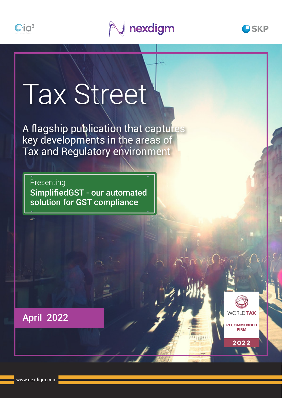





# Tax Street

A flagship publication that captures key developments in the areas of Tax and Regulatory environment

Presenting SimplifiedGST - our automated solution for GST compliance



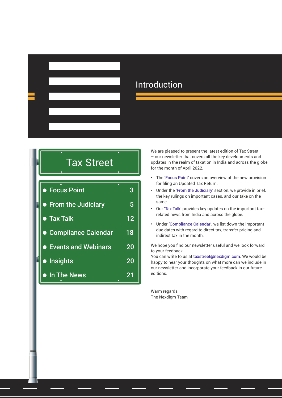

# Introduction

|  | <b>Tax Street</b>          |    |  |  |
|--|----------------------------|----|--|--|
|  | ● Focus Point              | 3  |  |  |
|  | • From the Judiciary       | 5  |  |  |
|  | <b>• Tax Talk</b>          | 12 |  |  |
|  | <b>Compliance Calendar</b> | 18 |  |  |
|  | <b>Events and Webinars</b> | 20 |  |  |
|  | • Insights                 | 20 |  |  |
|  | • In The News              | 21 |  |  |

We are pleased to present the latest edition of Tax Street – our newsletter that covers all the key developments and updates in the realm of taxation in India and across the globe for the month of April 2022.

- The 'Focus Point' covers an overview of the new provision for filing an Updated Tax Return.
- Under the 'From the Judiciary' section, we provide in brief, the key rulings on important cases, and our take on the same.
- Our 'Tax Talk' provides key updates on the important taxrelated news from India and across the globe.
- Under 'Compliance Calendar', we list down the important due dates with regard to direct tax, transfer pricing and indirect tax in the month.

We hope you find our newsletter useful and we look forward to your feedback.

You can write to us at [taxstreet@nexdigm.com](mailto:taxstreet%40skpgroup.com?subject=Tax%20Street). We would be happy to hear your thoughts on what more can we include in our newsletter and incorporate your feedback in our future editions.

Warm regards, The Nexdigm Team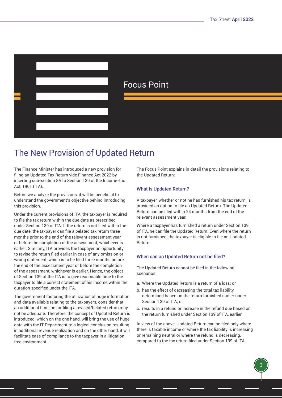# <span id="page-2-0"></span>Focus Point

# The New Provision of Updated Return

The Finance Minister has introduced a new provision for filing an Updated Tax Return vide Finance Act 2022 by inserting sub-section 8A to Section 139 of the Income-tax Act, 1961 (ITA).

Before we analyze the provisions, it will be beneficial to understand the government's objective behind introducing this provision.

Under the current provisions of ITA, the taxpayer is required to file the tax return within the due date as prescribed under Section 139 of ITA. If the return is not filed within the due date, the taxpayer can file a belated tax return three months prior to the end of the relevant assessment year or before the completion of the assessment, whichever is earlier. Similarly, ITA provides the taxpayer an opportunity to revise the return filed earlier in case of any omission or wrong statement, which is to be filed three months before the end of the assessment year or before the completion of the assessment, whichever is earlier. Hence, the object of Section 139 of the ITA is to give reasonable time to the taxpayer to file a correct statement of his income within the duration specified under the ITA.

The government factoring the utilization of huge information and data available relating to the taxpayers, consider that an additional timeline for filing a revised/belated return may not be adequate. Therefore, the concept of Updated Return is introduced, which on the one hand, will bring the use of huge data with the IT Department to a logical conclusion resulting in additional revenue realization and on the other hand, it will facilitate ease of compliance to the taxpayer in a litigation free environment.

The Focus Point explains in detail the provisions relating to the Updated Return:

# What is Updated Return?

A taxpayer, whether or not he has furnished his tax return, is provided an option to file an Updated Return. The Updated Return can be filed within 24 months from the end of the relevant assessment year.

Where a taxpayer has furnished a return under Section 139 of ITA, he can file the Updated Return. Even where the return is not furnished, the taxpayer is eligible to file an Updated Return.

## When can an Updated Return not be filed?

The Updated Return cannot be filed in the following scenarios:

- a. Where the Updated Return is a return of a loss; or
- b. has the effect of decreasing the total tax liability determined based on the return furnished earlier under Section 139 of ITA; or
- c. results in a refund or increase in the refund due based on the return furnished under Section 139 of ITA, earlier

In view of the above, Updated Return can be filed only where there is taxable income or where the tax liability is increasing or remaining neutral or where the refund is decreasing, compared to the tax return filed under Section 139 of ITA.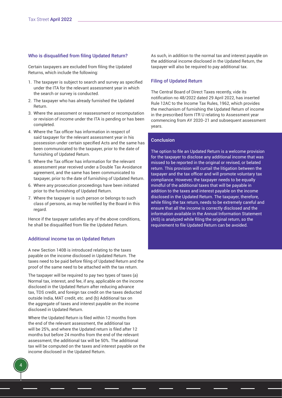#### Who is disqualified from filing Updated Return?

Certain taxpayers are excluded from filing the Updated Returns, which include the following:

- 1. The taxpayer is subject to search and survey as specified under the ITA for the relevant assessment year in which the search or survey is conducted.
- 2. The taxpayer who has already furnished the Updated Return.
- 3. Where the assessment or reassessment or recomputation or revision of income under the ITA is pending or has been completed.
- 4. Where the Tax officer has information in respect of said taxpayer for the relevant assessment year in his possession under certain specified Acts and the same has been communicated to the taxpayer, prior to the date of furnishing of Updated Return.
- 5. Where the Tax officer has information for the relevant assessment year received under a Double Tax Avoidance agreement, and the same has been communicated to taxpayer, prior to the date of furnishing of Updated Return.
- 6. Where any prosecution proceedings have been initiated prior to the furnishing of Updated Return.
- 7. Where the taxpayer is such person or belongs to such class of persons, as may be notified by the Board in this regard.

Hence if the taxpayer satisfies any of the above conditions, he shall be disqualified from file the Updated Return.

#### Additional income tax on Updated Return

A new Section 140B is introduced relating to the taxes payable on the income disclosed in Updated Return. The taxes need to be paid before filing of Updated Return and the proof of the same need to be attached with the tax return.

The taxpayer will be required to pay two types of taxes (a) Normal tax, interest, and fee, if any, applicable on the income disclosed in the Updated Return after reducing advance tax, TDS credit, and foreign tax credit on the taxes deducted outside India, MAT credit, etc. and (b) Additional tax on the aggregate of taxes and interest payable on the income disclosed in Updated Return.

Where the Updated Return is filed within 12 months from the end of the relevant assessment, the additional tax will be 25%, and where the Updated return is filed after 12 months but before 24 months from the end of the relevant assessment, the additional tax will be 50%. The additional tax will be computed on the taxes and interest payable on the income disclosed in the Updated Return.

As such, in addition to the normal tax and interest payable on the additional income disclosed in the Updated Return, the taxpayer will also be required to pay additional tax.

#### Filing of Updated Return

The Central Board of Direct Taxes recently, vide its notification no 48/2022 dated 29 April 2022, has inserted Rule 12AC to the Income Tax Rules, 1962, which provides the mechanism of furnishing the Updated Return of income in the prescribed form ITR U relating to Assessment year commencing from AY 2020-21 and subsequent assessment years.

#### **Conclusion**

The option to file an Updated Return is a welcome provision for the taxpayer to disclose any additional income that was missed to be reported in the original or revised, or belated return. This provision will curtail the litigation between the taxpayer and the tax officer and will promote voluntary tax compliance. However, the taxpayer needs to be equally mindful of the additional taxes that will be payable in addition to the taxes and interest payable on the income disclosed in the Updated Return. The taxpayer, therefore, while filing the tax return, needs to be extremely careful and ensure that all the income is correctly disclosed and the information available in the Annual Information Statement (AIS) is analyzed while filing the original return, so the requirement to file Updated Return can be avoided.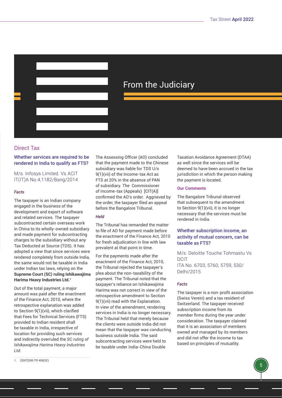<span id="page-4-0"></span>

# From the Judiciary

# Direct Tax

# Whether services are required to be rendered in India to qualify as FTS?

M/s. Infosys Limited. Vs ACIT IT(IT)A No.4,1182/Bang/2014

## *Facts*

The taxpayer is an Indian company engaged in the business of the development and export of software and related services. The taxpayer subcontracted certain overseas work in China to its wholly-owned subsidiary and made payment for subcontracting charges to the subsidiary without any Tax Deducted at Source (TDS). It has adopted a view that since services were rendered completely from outside India, the same would not be taxable in India under Indian tax laws, relying on the **Supreme Court (SC) ruling Ishikawajima Harima Heavy Industries Ltd.1**

Out of the total payment, a major amount was paid after the enactment of the Finance Act, 2010, where the retrospective explanation was added to Section 9(1)(vii), which clarified that Fees for Technical Services (FTS) provided to Indian resident shall be taxable in India, irrespective of location for providing such services and indirectly overruled the *SC ruling of Ishikawajima Harima Heavy Industries Ltd.*

The Assessing Officer (AO) concluded that the payment made to the Chinese subsidiary was liable for TDS U/s 9(1)(vii) of the Income-tax Act as FTS at 20% in the absence of PAN of subsidiary. The Commissioner of Income-tax (Appeals) [CIT(A)] confirmed the AO's order. Aggrieved by the order, the taxpayer filed an appeal before the Bangalore Tribunal.

# *Held*

The Tribunal has remanded the matter to file of AO for payment made before the enactment of the Finance Act, 2010 for fresh adjudication in line with law prevalent at that point in time.

For the payments made after the enactment of the Finance Act, 2010, the Tribunal rejected the taxpayer's plea about the non-taxability of the payment. The Tribunal noted that the taxpayer's reliance on Ishikawajima Harima was not correct in view of the retrospective amendment to Section 9(1)(vii) read with the Explanation. In view of the amendment, rendering services in India is no longer necessary. The Tribunal held that merely because the clients were outside India did not mean that the taxpayer was conducting business outside India. The said subcontracting services were held to be taxable under India-China Double

Taxation Avoidance Agreement (DTAA) as well since the services will be deemed to have been accrued in the tax jurisdiction in which the person making the payment is located.

# **Our Comments**

The Bangalore Tribunal observed that subsequent to the amendment to Section 9(1)(vii), it is no longer necessary that the services must be rendered in India.

# Whether subscription income, an activity of mutual concern, can be taxable as FTS?

M/s. Deloitte Touche Tohmastu Vs DCIT ITA No. 6703, 5760, 5759, 530/ Delhi/2015

# *Facts*

The taxpayer is a non-profit association (Swiss Verein) and a tax resident of Switzerland. The taxpayer received subscription income from its member firms during the year under consideration. The taxpayer claimed that it is an association of members owned and managed by its members and did not offer the income to tax based on principles of mutuality.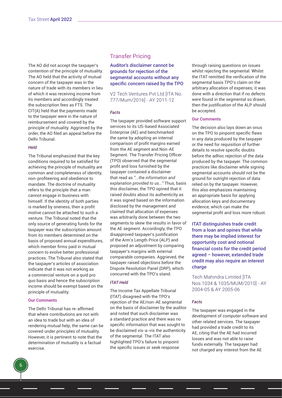The AO did not accept the taxpayer's contention of the principle of mutuality. The AO held that the activity of mutual concern of the taxpayer was in the nature of trade with its members in lieu of which it was receiving income from its members and accordingly treated the subscription fees as FTS. The CIT(A) held that the payments made to the taxpayer were in the nature of reimbursement and covered by the principle of mutuality. Aggrieved by the order, the AO filed an appeal before the Delhi Tribunal.

## *Held*

The Tribunal emphasized that the key conditions required to be satisfied for achieving the principle of mutuality are common and completeness of identity, non-profiteering and obedience to mandate. The doctrine of mutuality refers to the principle that a man cannot engage in business with himself. If the identity of both parties is marked by oneness, then a profit motive cannot be attached to such a venture. The Tribunal noted that the only source of generating funds for the taxpayer was the subscription amount from its members determined on the basis of proposed annual expenditures, which member firms paid in mutual concern to evolve better professional practices. The Tribunal also stated that the taxpayer's articles of association indicate that it was not working as a commercial venture on a quid pro quo basis and hence the subscription income should be exempt based on the principle of mutuality.

## **Our Comments**

The Delhi Tribunal has re-affirmed that where contributions are not with an idea to trade but with an idea of rendering mutual help, the same can be covered under principles of mutuality. However, it is pertinent to note that the determination of mutuality is a factual exercise.

# Transfer Pricing

Auditor's disclaimer cannot be grounds for rejection of the segmental accounts without any specific concern raised by the TPO

V2 Tech Ventures Pvt Ltd [ITA No. 777/Mum/2016] - AY 2011-12

#### *Facts*

The taxpayer provided software support services to its US-based Associated Enterprise (AE) and benchmarked the same by adopting an internal comparison of profit margins earned from the AE segment and Non-AE Segment. The Transfer Pricing Officer (TPO) observed that the segmental profit and loss furnished by the taxpayer contained a disclaimer that read as *"...the information and explanation provided to us..."* Thus, basis this disclaimer, the TPO opined that it raised doubts about its authenticity as it was signed based on the information disclosed by the management and claimed that allocation of expenses was arbitrarily done between the two segments to skew the results in favor of the AE segment. Accordingly, the TPO disapproved taxpayer's justification of the Arm's Length Price (ALP) and proposed an adjustment by comparing taxpayer's margins with external comparable companies. Aggrieved, the taxpayer raised objections before the Dispute Resolution Panel (DRP), which concurred with the TPO's stand.

#### *ITAT Held*

The Income Tax Appellate Tribunal (ITAT) disagreed with the TPO's rejection of the AE/non-AE segmental on the basis of disclaimer by the auditor and noted that such disclaimer was a standard practice and there was no specific information that was sought to be disclaimed vis-a-vis the authenticity of the segmental. The ITAT also highlighted TPO's failure to pinpoint the specific issues or seek response

through raising questions on issues whilst rejecting the segmental. Whilst the ITAT remitted the verification of the segmental basis TPO's claim on the arbitrary allocation of expenses; it was done with a direction that if no defects were found in the segmental so drawn, then the justification of the ALP should be accepted.

#### **Our Comments**

The decision also lays down an onus on the TPO to pinpoint specific flaws in any data produced by the taxpayer or the need for requisition of further details to resolve specific doubts before the adhoc rejection of the data produced by the taxpayer. The common practices like disclaimer while signing segmental accounts should not be the ground for outright rejection of data relied on by the taxpayer. However, this also emphasizes maintaining an appropriate basis for applying allocation keys and documentary evidence, which can make the segmental profit and loss more robust.

ITAT distinguishes trade credit from a loan and opines that while there may be implied interest for opportunity cost and notional financial costs for the credit period agreed – however, extended trade credit may also require an interest charge

Tech Mahindra Limited [ITA Nos.1034 & 1035/MUM/2010] - AY 2004-05 & AY 2005-06

#### *Facts*

The taxpayer was engaged in the development of computer software and other related services. The taxpayer had provided a trade credit to its AE, citing that the AE had incurred losses and was not able to raise funds externally. The taxpayer had not charged any interest from the AE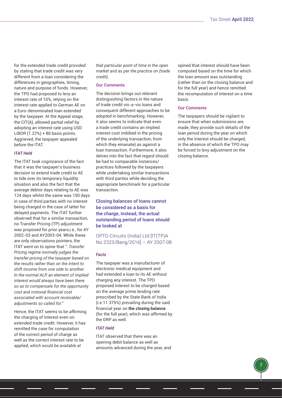for the extended trade credit provided by stating that trade credit was very different from a loan considering the differences in geographies, timing, nature and purpose of funds. However, the TPO had proposed to levy an interest rate of 10%, relying on the interest rate applied to German AE on a Euro-denominated loan extended by the taxpayer. At the Appeal stage, the CIT(A), allowed partial relief by adopting an interest rate using USD LIBOR (1.22%) + 80 basis points. Aggrieved, the taxpayer appealed before the ITAT.

#### *ITAT Held*

The ITAT took cognizance of the fact that it was the taxpayer's business decision to extend trade credit to AE to tide over its temporary liquidity situation and also the fact that the average debtor days relating to AE was 124 days whilst the same was 150 days in case of third parties with no interest being charged in the case of latter for delayed payments. The ITAT further observed that for a similar transaction, no Transfer Pricing (TP) adjustment was proposed for prior years,i.e., for AY 2002-03 and AY2003-04. While these are only observations pointers, the ITAT went on to opine that *"..Transfer Pricing regime normally judges the transfer pricing of the taxpayer based on the results rather than on the intent to shift income from one side to another. In the normal ALP, an element of implied interest would always have been there so as to compensate for the opportunity cost and notional financial cost associated with account receivable/ adjustments so called for."*

Hence, the ITAT seems to be affirming the charging of interest even on extended trade credit. However, it has remitted the case for computation of the correct period of charge as well as the correct interest rate to be applied, *which would be available at* 

*that particular point of time in the open market and as per the practice on (trade credit).*

## **Our Comments**

The decision brings out relevant distinguishing factors in the nature of trade credit vis-a-vis loans and consequent different approaches to be adopted in benchmarking. However, it also seems to indicate that even a trade credit contains an implied interest cost imbibed in the pricing of the underlying transaction, from which they emanate) as against a loan transaction. Furthermore, it also delves into the fact that regard should be had to comparable instances/ practices followed by the taxpayers while undertaking similar transactions with third parties while deciding the appropriate benchmark for a particular transaction.

Closing balances of loans cannot be considered as a basis for the charge, instead, the actual outstanding period of loans should be looked at

OPTO Circuits (India) Ltd [IT(TP)A No.2323/Bang/2016] – AY 2007-08

#### *Facts*

The taxpayer was a manufacturer of electronic medical equipment and had extended a loan to its AE without charging any interest. The TPO proposed interest to be charged based on the average prime lending rate prescribed by the State Bank of India (i.e.11.375%) prevailing during the said financial year on **the closing balance** (for the full year), which was affirmed by the DRP as well.

# *ITAT Held*

ITAT observed that there was an opening debit balance as well as amounts advanced during the year, and opined that interest should have been computed based on the time for which the loan amount was outstanding (rather than on the closing balance and for the full year) and hence remitted the recomputation of interest on a time basis.

#### **Our Comments**

The taxpayers should be vigilant to ensure that when submissions are made, they provide such details of the loan period during the year on which only the interest should be charged, in the absence of which the TPO may be forced to levy adjustment on the closing balance.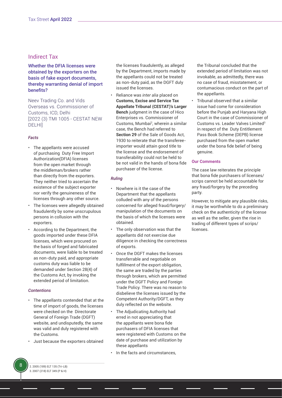# Indirect Tax

# Whether the DFIA licenses were obtained by the exporters on the basis of fake export documents, thereby warranting denial of import benefits?

Neev Trading Co. and Vids Overseas vs. Commissioner of Customs, ICD, Delhi [2022 (3) TMI 1005 - CESTAT NEW DELHI]

## *Facts*

- The appellants were accused of purchasing Duty Free Import Authorization(DFIA) licenses from the open market through the middleman/brokers rather than directly from the exporters. They neither tried to ascertain the existence of the subject exporter nor verify the genuineness of the licenses through any other source.
- The licenses were allegedly obtained fraudulently by some unscrupulous persons in collusion with the exporters.
- According to the Department, the goods imported under these DFIA licenses, which were procured on the basis of forged and fabricated documents, were liable to be treated as non-duty paid, and appropriate customs duty was liable to be demanded under Section 28(4) of the Customs Act, by invoking the extended period of limitation.

#### *Contentions*

- The appellants contended that at the time of import of goods, the licenses were checked on the Directorate General of Foreign Trade (DGFT) website, and undisputedly, the same was valid and duly registered with the Customs.
- Just because the exporters obtained

the licenses fraudulently, as alleged by the Department, imports made by the appellants could not be treated as non-duty paid, as the DGFT duly issued the licenses.

• Reliance was *inter alia* placed on **Customs, Excise and Service Tax Appellate Tribunal (CESTAT)'s Larger Bench** judgment in the case of Hico Enterprises vs. Commissioner of Customs, Mumbai<sup>2</sup>, wherein a similar case, the Bench had referred to **Section 29** of the Sale of Goods Act, 1930 to reiterate that the transfereeimporter would attain good title to the license and the endorsement of transferability could not be held to be not valid in the hands of bona fide purchaser of the license.

## *Ruling*

- Nowhere is it the case of the Department that the appellants colluded with any of the persons concerned for alleged fraud/forgery/ manipulation of the documents on the basis of which the licenses were obtained.
- The only observation was that the appellants did not exercise due diligence in checking the correctness of exports.
- Once the DGFT makes the licenses transferrable and negotiable on fulfillment of the export obligation, the same are traded by the parties through brokers, which are permitted under the DGFT Policy and Foreign Trade Policy. There was no reason to disbelieve the licenses issued by the Competent Authority/DGFT, as they duly reflected on the website.
- The Adjudicating Authority had erred in not appreciating that the appellants were bona fide purchasers of DFIA licenses that were registered with Customs on the date of purchase and utilization by these appellants
- In the facts and circumstances.

the Tribunal concluded that the extended period of limitation was not invokable, as admittedly, there was no case of fraud, misstatement, or contumacious conduct on the part of the appellants.

• Tribunal observed that a similar issue had come for consideration before the Punjab and Haryana High Court in the case of Commissioner of Customs vs. Leader Valves Limited<sup>3</sup> in respect of the Duty Entitlement Pass Book Scheme (DEPB) license purchased from the open market under the bona fide belief of being genuine.

#### **Our Comments**

The case law reiterates the principle that bona fide purchasers of licenses/ scrips cannot be held accountable for any fraud/forgery by the preceding party.

However, to mitigate any plausible risks, it may be worthwhile to do a preliminary check on the authenticity of the license as well as the seller, given the rise in trading of different types of scrips/ licenses.

2. 2005 (189) ELT 135 (Tri-LB) 3. 2007 (218) ELT 349 (P & H)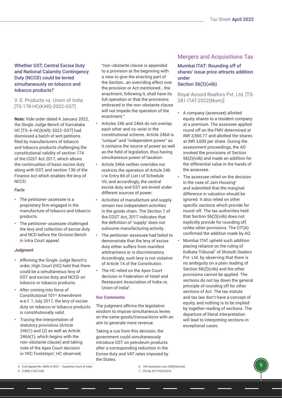Whether GST, Central Excise Duty and National Calamity Contingency Duty (NCCD) could be levied simultaneously on tobacco and tobacco products?

# V. S. Products vs. Union of India [TS-178-HC(KAR)-2022-GST]

**Note:** Vide order dated 4 January 2022, the Single Judge Bench of Karnataka HC [TS-4-HC(KAR)-2022-GST] had dismissed a batch of writ petitions filed by manufacturers of tobacco and tobacco products challenging the constitutional validity of section 174 of the CGST Act 2017, which allows the continuation of basic excise duty along with GST, and section 136 of the Finance Act which enables the levy of NCCD.

## *Facts*

- The petitioner-assessee is a proprietary firm engaged in the manufacture of tobacco and tobacco products.
- The petitioner-assessee challenged the levy and collection of excise duty and NCD before the Division Bench in intra Court appeal.

## *Judgment*

- Affirming the Single Judge Bench's order, High Court (HC) held that there could be a simultaneous levy of GST and excise duty and NCCD on tobacco or tobacco products.
- After coming into force of Constitutional 101st Amendment w.e.f. 1 July 2017, the levy of excise duty on tobacco or tobacco products is constitutionally valid.
- Tracing the interpretation of statutory provisions (Article 246(1) and (2) as well as Article 246A(1), which begins with the non-obstante clause) and taking note of the Apex Court decision in VKC Footsteps<sup>4</sup>, HC observed,

5. (1989) 3 SCC 634

"non-obstante clause is appended to a provision at the beginning with a view to give the enacting part of the Section…an overriding effect over the provision or Act mentioned… the enactment, following it, shall have its full operation or that the provisions embraced in the non-obstante clause will not impede the operation of the enactment."

- Articles 246 and 246A do not overlap each other and co-exist in the constitutional scheme. Article 246A is "unique" and "independent power" as it contains the source of power as well as the field of legislation, thus having simultaneous power of taxation.
- Article 246A neither overrides nor restricts the operation of Article 246 r/w Entry 84 of List I of Schedule VII, and accordingly, the central excise duty and GST are levied under different sources of power.
- Activities of manufacture and supply remain two independent activities in the goods chain. The Section 7 of the CGST Act, 2017 indicates that the definition of 'supply' does not subsume manufacturing activity.
- The petitioner-assessee had failed to demonstrate that the levy of excise duty either suffers from manifest arbitrariness or is discriminatory. Accordingly, such levy is not violative of Article 14 of the Constitution.
- The HC relied on the Apex Court decision in Federation of Hotel and Restaurant Association of India vs. Union of India<sup>5</sup>.

# **Our Comments**

The judgment affirms the legislative wisdom to impose simultaneous levies on the same goods/transactions with an aim to generate more revenue.

Taking a cue from this decision, the government could simultaneously introduce GST on petroleum products after a corresponding reduction in the Excise duty and VAT rates imposed by the States.

# Mumbai ITAT: Rounding off of shares' issue price attracts addition under

# Section 56(2)(viib)

# Royal Accord Realtors Pvt. Ltd. [TS-281-ITAT-2022(Mum)]

- A company (assessee) allotted equity shares to a resident company at a premium. The assessee applied round off on the FMV determined at INR 3,560.77 and allotted the shares at INR 3,600 per share. During the assessment proceedings, the AO invoked the provisions of Section 56(2)(viib) and made an addition for the differential value in the hands of the assessee.
- The assessee relied on the decision in the case of Jain Housing<sup>6</sup> and submitted that the marginal difference in valuation should be ignored. It also relied on other specific sections which provide for round-off. The tax authorities held that Section 56(2)(viib) does not explicitly provide for rounding off, unlike other provisions. The CIT(A) confirmed the addition made by AO.
- Mumbai ITAT upheld such addition placing reliance on the ruling of Kolkata Tribunal7 of Shresth Dealers Pvt. Ltd. by observing that there is no ambiguity on a plain reading of Section 56(2)(viib) and the other provisions cannot be applied. The sections do not lay down the general principle of rounding off for other sections of Act. The tax statute and tax law don't have a concept of equity, and nothing is to be implied by together reading of sections. The departure of literal interpretation will lead to interpreting sections in exceptional cases.

7. ITA No.2517/Kol/2018

<sup>4.</sup> Civil Appeal No. 4809 of 2021 – Supreme Court of India

Mergers and Acquisitions Tax

<sup>6.</sup> 109 taxamann.com 428(Chennai)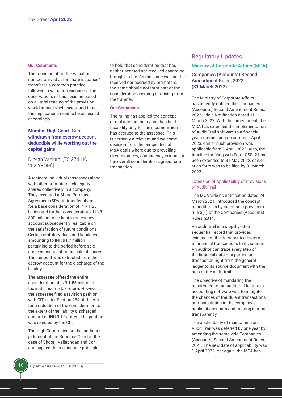#### **Our Comments**

The rounding off of the valuation number arrived at for share issuance/ transfer is a common practice followed in valuation exercises. The observations of this decision based on a literal reading of the provision would impact such cases, and thus the implications need to be assessed accordingly.

# Mumbai High Court: Sum withdrawn from escrow account deductible while working out the capital gains

# Dinesh Vazirani [TS-274-HC-2022(BOM)]

A resident individual (assessee) along with other promoters held equity shares collectively in a company. They executed a Share Purchase Agreement (SPA) to transfer shares for a base consideration of INR 1.25 billion and further consideration of INR 300 million to be kept in an escrow account subsequently realizable on the satisfaction of future conditions. Certain statutory dues and liabilities amounting to INR 91.7 million pertaining to the period before sale arose subsequent to the sale of shares. This amount was extracted from the escrow account for the discharge of the liability.

The assessee offered the entire consideration of INR 1.55 billion to tax in its income tax return. However, the assessee filed a revision petition with CIT under Section 264 of the Act for a reduction of the consideration to the extent of the liability discharged amount of INR 9.17 crores. The petition was rejected by the CIT.

The High Court relied on the landmark judgment of the Supreme Court in the case of Shoorji Vallabhdas and Co8 and applied the real income principle

to hold that consideration that has neither accrued nor received cannot be brought to tax. As the same was neither received nor accrued by promoters, the same should not form part of the consideration accruing or arising from the transfer.

#### **Our Comments**

The ruling has applied the concept of real income theory and has held taxability only for the income which has accrued to the assessee. This is certainly a relevant and welcome decision from the perspective of M&A deals where due to prevailing circumstances, contingency is inbuilt in the overall consideration agreed for a transaction.

# Regulatory Updates

# Ministry of Corporate Affairs (MCA)

# Companies (Accounts) Second Amendment Rules, 2022 (31 March 2022)

The Ministry of Corporate Affairs has recently notified the Companies (Accounts) Second Amendment Rules, 2022 vide a Notification dated 31 March 2022. With this amendment, the MCA has extended the implementation of Audit Trail software to a financial year commencing on or after 1 April 2023, earlier such provision was applicable from 1 April 2022. Also, the timeline for filing web Form CSR-2 has been extended to 31 May 2022, earlier, such form was to be filed by 31 March 2022.

#### Extension of Applicability of Provisions of Audit Trail

The MCA vide its notification dated 24 March 2021, introduced the concept of audit trails by inserting a proviso to rule 3(1) of the Companies (Accounts) Rules, 2014.

An audit trail is a step-by-step sequential record that provides evidence of the documented history of financial transactions to its source. An auditor can trace every step of the financial data of a particular transaction right from the general ledger to its source document with the help of the audit trail.

The objective of mandating the requirement of an audit trail feature in accounting software was to mitigate the chances of fraudulent transactions or manipulation in the company's books of accounts and to bring in more transparency.

The applicability of maintaining an Audit Trail was deferred by one year by amending the same vide Companies (Accounts) Second Amendment Rules, 2021. The new date of applicability was 1 April 2022. Yet again, the MCA has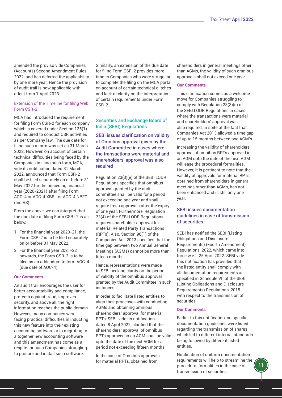amended the proviso vide Companies (Accounts) Second Amendment Rules, 2022, and has deferred the applicability by one more year. Hence the provision of audit trail is now applicable with effect from 1 April 2023.

## Extension of the Timeline for filing Web Form CSR-2

MCA had introduced the requirement for filing Form CSR-2 for each company which is covered under Section 135(1) and required to conduct CSR activities as per Company law. The due date for filing such a form was set as 31 March 2022. However, on account of certain technical difficulties being faced by the Companies in filing such form, MCA, vide its notification dated 31 March 2022, announced that Form CSR-2 shall be filed separately on or before 31 May 2022 for the preceding financial year (2020-2021) after filing Form AOC-4 or AOC-4 XBRL or AOC-4 NBFC (Ind AS).

From the above, we can interpret that the due date of filing Form CSR- 2 is as below:

- 1. For the financial year 2020-21, the Form CSR-2 is to be filed separately on or before 31 May 2022.
- 2. For the financial year 2021-22 onwards, the Form CSR-2 is to be filed as an addendum to form AOC-4 (due date of AOC-4).

#### **Our Comments**

An audit trail encourages the user for better accountability and compliance, protects against fraud, improves security, and above all, the right information reaches the public domain. However, many companies were facing practical difficulties in inducting this new feature into their existing accounting software or in migrating to altogether new accounting software and this amendment has come as a respite for such Companies struggling to procure and install such software.

Similarly, an extension of the due date for filing Form CSR-2 provides more time to Companies who were struggling to complete the filing on the MCA portal on account of certain technical glitches and lack of clarity on the interpretation of certain requirements under Form CSR-2.

# Securities and Exchange Board of India (SEBI) Regulations

SEBI issues clarification on validity of Omnibus approval given by the Audit Committee in cases where the transactions were material and shareholders' approval was also required

Regulation 23(3)(e) of the SEBI LODR Regulations specifies that omnibus approval granted by the audit committee shall be valid for a period not exceeding one year and shall require fresh approvals after the expiry of one year. Furthermore, Regulation 23(4) of the SEBI LODR Regulations requires shareholder approval for material Related Party Transactions (RPTs). Also, Section 96(1) of the Companies Act, 2013 specifies that the time gap between two Annual General Meetings (AGMs) cannot be more than fifteen months.

Hence, representations were made to SEBI seeking clarity on the period of validity of the omnibus approval granted by the Audit Committee in such instances.

In order to facilitate listed entities to align their processes with conducting AGMs and obtaining omnibus shareholders' approval for material RPTs, SEBI, vide its notification dated 8 April 2022, clarified that the shareholders' approval of omnibus RPTs approved in an AGM shall be valid upto the date of the next AGM for a period not exceeding fifteen months.

In the case of Omnibus approvals for material RPTs, obtained from

shareholders in general meetings other than AGMs, the validity of such omnibus approvals shall not exceed one year.

## **Our Comments**

This clarification comes as a welcome move for Companies struggling to comply with Regulation 23(3)(e) of the SEBI LODR Regulations in cases where the transactions were material and shareholders' approval was also required, in spite of the fact that Companies Act 2013 allowed a time gap of up to 15 months between two AGM's.

Increasing the validity of shareholders' approval of omnibus RPTs approved in an AGM upto the date of the next AGM will ease the procedural formalities. However, it is pertinent to note that the validity of approvals for material RPTs, obtained from shareholders in general meetings other than AGMs, has not been enhanced and is still only one year.

# SEBI issues documentation guidelines in case of transmission of securities

SEBI has notified the SEBI (Listing Obligations and Disclosure Requirements) (Fourth Amendment) Regulations, 2022, which came into force w.e.f. 25 April 2022. SEBI vide this notification has provided that the listed entity shall comply with all documentation requirements as specified in Schedule VII of the SEBI (Listing Obligations and Disclosure Requirements) Regulations, 2015 with respect to the transmission of securities.

#### **Our Comments**

Earlier to this notification, no specific documentation guidelines were listed regarding the transmission of shares which led to different internal standards being followed by different listed entities.

Notification of uniform documentation requirements will help to streamline the procedural formalities in the case of transmission of securities.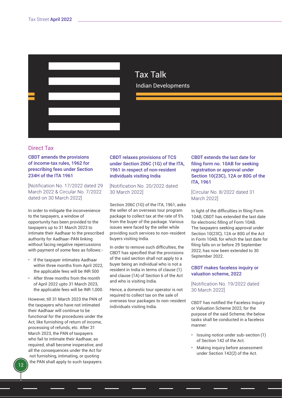<span id="page-11-0"></span>

# Tax Talk Indian Developments

# Direct Tax

# CBDT amends the provisions of income-tax rules, 1962 for prescribing fees under Section 234H of the ITA 1961

[Notification No. 17/2022 dated 29 March 2022 & Circular No. 7/2022 dated on 30 March 2022]

In order to mitigate the inconvenience to the taxpayers, a window of opportunity has been provided to the taxpayers up to 31 March 2023 to intimate their Aadhaar to the prescribed authority for Aadhaar-PAN linking without facing negative repercussions with payment of some fees as follows:-

- If the taxpayer intimates Aadhaar within three months from April 2022, the applicable fees will be INR 500
- After three months from the month of April 2022 upto 31 March 2023, the applicable fees will be INR 1,000.

However, till 31 March 2023 the PAN of the taxpayers who have not intimated their Aadhaar will continue to be functional for the procedures under the Act, like furnishing of return of income, processing of refunds, etc. After 31 March 2023, the PAN of taxpayers who fail to intimate their Aadhaar, as required, shall become inoperative, and all the consequences under the Act for not furnishing, intimating, or quoting the PAN shall apply to such taxpayers.

# CBDT relaxes provisions of TCS under Section 206C (1G) of the ITA, 1961 in respect of non-resident individuals visiting India

# [Notification No. 20/2022 dated 30 March 2022]

Section 206C (1G) of the ITA, 1961, asks the seller of an overseas tour program package to collect tax at the rate of 5% from the buyer of the package. Various issues were faced by the seller while providing such services to non-resident buyers visiting India.

In order to remove such difficulties, the CBDT has specified that the provisions of the said section shall not apply to a buyer being an individual who is not a resident in India in terms of clause (1) and clause (1A) of Section 6 of the Act and who is visiting India.

Hence, a domestic tour operator is not required to collect tax on the sale of overseas tour packages to non-resident individuals visiting India.

# CBDT extends the last date for filing form no. 10AB for seeking registration or approval under Section 10(23C), 12A or 80G of the ITA, 1961

[Circular No. 8/2022 dated 31 March 2022]

In light of the difficulties in filing Form 10AB, CBDT has extended the last date for electronic filling of Form 10AB. The taxpayers seeking approval under Section 10(23C), 12A or 80G of the Act in Form 10AB, for which the last date for filing falls on or before 29 September 2022, has now been extended to 30 September 2022.

# CBDT makes faceless inquiry or valuation scheme, 2022

[Notification No. 19/2022 dated 30 March 2022]

CBDT has notified the Faceless Inquiry or Valuation Scheme 2022, for the purpose of the said Scheme, the below tasks shall be conducted in a faceless manner:

- Issuing notice under sub-section (1) of Section 142 of the Act.
- Making inquiry before assessment under Section 142(2) of the Act.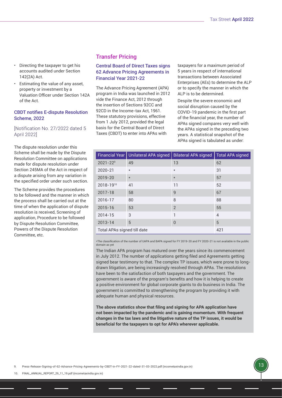- Directing the taxpayer to get his accounts audited under Section 142(2A) Act.
- Estimating the value of any asset, property or investment by a Valuation Officer under Section 142A of the Act.

# CBDT notifies E-dispute Resolution Scheme, 2022

[Notification No. 27/2022 dated 5 April 2022]

The dispute resolution under this Scheme shall be made by the Dispute Resolution Committee on applications made for dispute resolution under Section 245MA of the Act in respect of a dispute arising from any variation in the specified order under such section.

The Scheme provides the procedures to be followed and the manner in which the process shall be carried out at the time of when the application of dispute resolution is received, Screening of application, Procedure to be followed by Dispute Resolution Committee, Powers of the Dispute Resolution Committee, etc.

# Transfer Pricing

# Central Board of Direct Taxes signs 62 Advance Pricing Agreements in Financial Year 2021-22

The Advance Pricing Agreement (APA) program in India was launched in 2012 vide the Finance Act, 2012 through the insertion of Sections 92CC and 92CD in the Income-tax Act, 1961. These statutory provisions, effective from 1 July 2012, provided the legal basis for the Central Board of Direct Taxes (CBDT) to enter into APAs with

taxpayers for a maximum period of 5 years in respect of international transactions between Associated Enterprises (AEs) to determine the ALP or to specify the manner in which the ALP is to be determined.

Despite the severe economic and social disruption caused by the COVID-19 pandemic in the first part of the financial year, the number of APAs signed compares very well with the APAs signed in the preceding two years. A statistical snapshot of the APAs signed is tabulated as under:

|                             | Financial Year   Unilateral APA signed | <b>Bilateral APA signed</b> | <b>Total APA signed</b> |
|-----------------------------|----------------------------------------|-----------------------------|-------------------------|
| $2021 - 229$                | 49                                     | 13                          | 62                      |
| 2020-21                     | $\star$                                | $\star$                     | 31                      |
| 2019-20                     | $\star$                                | $\star$                     | 57                      |
| 2018-1910                   | 41                                     | 11                          | 52                      |
| 2017-18                     | 58                                     | 9                           | 67                      |
| 2016-17                     | 80                                     | 8                           | 88                      |
| $2015 - 16$                 | 53                                     | $\overline{2}$              | 55                      |
| $2014 - 15$                 | 3                                      | 1                           | $\overline{4}$          |
| $2013 - 14$                 | 5                                      | $\theta$                    | 5                       |
| Total APAs signed till date | 421                                    |                             |                         |

\*The classification of the number of UAPA and BAPA signed for FY 2019-20 and FY 2020-21 is not available in the public domain as yet

The Indian APA program has matured over the years since its commencement in July 2012. The number of applications getting filed and Agreements getting signed bear testimony to that. The complex TP issues, which were prone to longdrawn litigation, are being increasingly resolved through APAs. The resolutions have been to the satisfaction of both taxpayers and the government. The government is aware of the program's benefits and how it is helping to create a positive environment for global corporate giants to do business in India. The government is committed to strengthening the program by providing it with adequate human and physical resources.

**The above statistics show that filing and signing for APA application have not been impacted by the pandemic and is gaining momentum. With frequent changes in the tax laws and the litigative nature of the TP issues, it would be beneficial for the taxpayers to opt for APA's wherever applicable.**

9. [Press-Release-Signing-of-62-Advance-Pricing-Agreements-by-CBDT-in-FY-2021-22-dated-31-03-2022.pdf \(incometaxindia.gov.in\)](https://incometaxindia.gov.in/Lists/Press%20Releases/Attachments/1068/Press-Release-Signing-of-62-Advance-Pricing-Agreements-by-CBDT-in-FY-2021-22-dated-31-03-2022.pdf)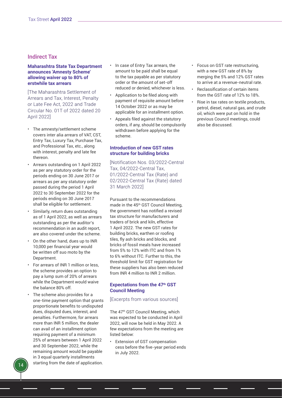# Indirect Tax

# **Maharashtra State Tax Department announces 'Amnesty Scheme' allowing waiver up to 80% of erstwhile tax arrears**

[The Maharashtra Settlement of Arrears and Tax, Interest, Penalty or Late Fee Act, 2022 and Trade Circular No. 01T of 2022 dated 20 April 2022]

- The amnesty/settlement scheme covers inter alia arrears of VAT, CST, Entry Tax, Luxury Tax, Purchase Tax, and Professional Tax, etc., along with interest, penalty and late fee thereon.
- Arrears outstanding on 1 April 2022 as per any statutory order for the periods ending on 30 June 2017 or arrears as per any statutory order passed during the period 1 April 2022 to 30 September 2022 for the periods ending on 30 June 2017 shall be eligible for settlement.
- Similarly, return dues outstanding as of 1 April 2022, as well as arrears outstanding as per the auditor's recommendation in an audit report, are also covered under the scheme.
- On the other hand, dues up to INR 10,000 per financial year would be written off suo moto by the Department.
- For arrears of INR 1 million or less, the scheme provides an option to pay a lump sum of 20% of arrears while the Department would waive the balance 80% off.
- The scheme also provides for a one-time payment option that grants proportionate benefits to undisputed dues, disputed dues, interest, and penalties. Furthermore, for arrears more than INR 5 million, the dealer can avail of an installment option requiring payment of a minimum 25% of arrears between 1 April 2022 and 30 September 2022, while the remaining amount would be payable in 3 equal quarterly installments starting from the date of application.
- In case of Entry Tax arrears, the amount to be paid shall be equal to the tax payable as per statutory order or the amount of set-off reduced or denied, whichever is less.
- Application to be filed along with payment of requisite amount before 14 October 2022 or as may be applicable for an installment option.
- Appeals filed against the statutory orders, if any, should be compulsorily withdrawn before applying for the scheme.

# **Introduction of new GST rates structure for building bricks**

[Notification Nos. 03/2022-Central Tax, 04/2022-Central Tax, 01/2022-Central Tax (Rate) and 02/2022-Central Tax (Rate) dated 31 March 2022]

Pursuant to the recommendations made in the 45<sup>th</sup> GST Council Meeting. the government has notified a revised tax structure for manufacturers and traders of brick and kiln, effective 1 April 2022. The new GST rates for building bricks, earthen or roofing tiles, fly ash bricks and blocks, and bricks of fossil meals have increased from 5% to 12% with ITC and from 1% to 6% without ITC. Further to this, the threshold limit for GST registration for these suppliers has also been reduced from INR 4 million to INR 2 million.

# **Expectations from the 47th GST Council Meeting**

# [Excerpts from various sources]

The 47th GST Council Meeting, which was expected to be conducted in April 2022, will now be held in May 2022. A few expectations from the meeting are listed below:

• Extension of GST compensation cess before the five-year period ends in July 2022.

- Focus on GST rate restructuring, with a new GST rate of 8% by merging the 5% and 12% GST rates to arrive at a revenue-neutral rate.
- Reclassification of certain items from the GST rate of 12% to 18%.
- Rise in tax rates on textile products, petrol, diesel, natural gas, and crude oil, which were put on hold in the previous Council meetings, could also be discussed.

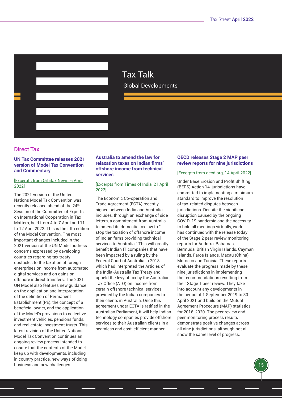

Tax Talk Global Developments

# Direct Tax

# **UN Tax Committee releases 2021 version of Model Tax Convention and Commentary**

## [\[Excerpts from Orbitax News, 6 April](https://www.orbitax.com/news/archive.php/UN-Releases-2021-Model-Tax-Con-49531) [2022\]](https://www.orbitax.com/news/archive.php/UN-Releases-2021-Model-Tax-Con-49531)

The 2021 version of the United Nations Model Tax Convention was recently released ahead of the 24<sup>th</sup> Session of the Committee of Experts on International Cooperation in Tax Matters, held from 4 to 7 April and 11 to 12 April 2022. This is the fifth edition of the Model Convention. The most important changes included in the 2021 version of the UN Model address concerns expressed by developing countries regarding tax treaty obstacles to the taxation of foreign enterprises on income from automated digital services and on gains on offshore indirect transfers. The 2021 UN Model also features new guidance on the application and interpretation of the definition of Permanent Establishment (PE), the concept of a beneficial owner, and the application of the Model's provisions to collective investment vehicles, pensions funds, and real estate investment trusts. This latest revision of the United Nations Model Tax Convention continues an ongoing review process intended to ensure that the contents of the Model keep up with developments, including in country practice, new ways of doing business and new challenges.

# **Australia to amend the law for relaxation taxes on Indian firms' offshore income from technical services**

# [\[Excerpts from Times of India, 21 April](https://timesofindia.indiatimes.com/blogs/voices/australias-commitment-to-amend-tax-law-will-bring-relief-to-indian-it-cos/) [2022\]](https://timesofindia.indiatimes.com/blogs/voices/australias-commitment-to-amend-tax-law-will-bring-relief-to-indian-it-cos/)

The Economic Co-operation and Trade Agreement (ECTA) recently signed between India and Australia includes, through an exchange of side letters, a commitment from Australia to amend its domestic tax law to "... stop the taxation of offshore income of Indian firms providing technical services to Australia." This will greatly benefit Indian IT companies that have been impacted by a ruling by the Federal Court of Australia in 2018, which had interpreted the Articles of the India-Australia Tax Treaty and upheld the levy of tax by the Australian Tax Office (ATO) on income from certain offshore technical services provided by the Indian companies to their clients in Australia. Once this agreement under ECTA is ratified in the Australian Parliament, it will help Indian technology companies provide offshore services to their Australian clients in a seamless and cost-efficient manner.

# **OECD releases Stage 2 MAP peer review reports for nine jurisdictions**

# [Excerpts from oecd.org, 14 April 2022[\]](https://www.oecd.org/tax/beps/making-tax-dispute-resolution-more-effective-new-peer-review-assessments-for-andorra-bahamas-bermuda-british-virgin-islands-cayman-islands-faroe-islands-macau-china-morocco-and-tunisia.htm)

Under Base Erosion and Profit Shifting (BEPS) Action 14, jurisdictions have committed to implementing a minimum standard to improve the resolution of tax-related disputes between jurisdictions. Despite the significant disruption caused by the ongoing COVID-19 pandemic and the necessity to hold all meetings virtually, work has continued with the release today of the Stage 2 peer review monitoring reports for Andorra, Bahamas, Bermuda, British Virgin Islands, Cayman Islands, Faroe Islands, Macau (China), Morocco and Tunisia. These reports evaluate the progress made by these nine jurisdictions in implementing the recommendations resulting from their Stage 1 peer review. They take into account any developments in the period of 1 September 2019 to 30 April 2021 and build on the Mutual Agreement Procedure (MAP) statistics for 2016-2020. The peer review and peer monitoring process results demonstrate positive changes across all nine jurisdictions, although not all show the same level of progress.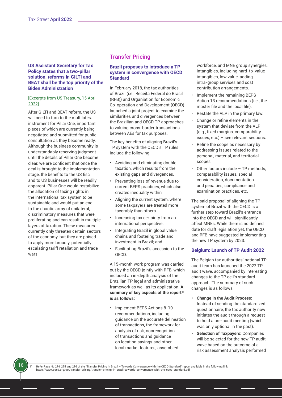# **US Assistant Secretary for Tax Policy states that a two-pillar solution, reforms in GILTI and BEAT shall be the top priority of the Biden Administration**

# [\[Excerpts from US Treasury, 15 April](https://home.treasury.gov/news/press-releases/jy0717?s=08) [2022\]](https://home.treasury.gov/news/press-releases/jy0717?s=08)

After GILTI and BEAT reform, the US will need to turn to the multilateral instrument for Pillar One, important pieces of which are currently being negotiated and submitted for public consultation as they become ready. Although the business community is understandably reserving judgment until the details of Pillar One become clear, we are confident that once the deal is brought to the implementation stage, the benefits to the US fisc and to US businesses will be readily apparent. Pillar One would restabilize the allocation of taxing rights in the international tax system to be sustainable and would put an end to the chaotic array of unilateral, discriminatory measures that were proliferating and can result in multiple layers of taxation. These measures currently only threaten certain sectors of the economy, but they are poised to apply more broadly, potentially escalating tariff retaliation and trade wars.

16

# Transfer Pricing

# **Brazil proposes to introduce a TP system in convergence with OECD Standard**

In February 2018, the tax authorities of Brazil (i.e., Receita Federal do Brasil (RFB)) and Organiation for Economic Co-operation and Development (OECD) launched a joint project to examine the similarities and divergences between the Brazilian and OECD TP approaches to valuing cross-border transactions between AEs for tax purposes.

The key benefits of aligning Brazil's TP system with the OECD's TP rules include the following:

- Avoiding and eliminating double taxation, which results from the existing gaps and divergences.
- Preventing loss of revenue due to current BEPS practices, which also creates inequality within
- Aligning the current system, where some taxpayers are treated more favorably than others.
- Increasing tax certainty from an international perspective.
- Integrating Brazil in global value chains and fostering trade and investment in Brazil; and
- Facilitating Brazil's accession to the OECD.

A 15-month work program was carried out by the OECD jointly with RFB, which included an in-depth analysis of the Brazilian TP legal and administrative framework as well as its application. **A summary of key aspects of the report<sup>11</sup> is as follows:**

• Implement BEPS Actions 8-10 recommendations, including guidance on the accurate delineation of transactions, the framework for analysis of risk, nonrecognition of transactions and guidance on location savings and other local market features, assembled

workforce, and MNE group synergies, intangibles, including hard-to-value intangibles, low value-adding intra-group services and cost contribution arrangements.

- Implement the remaining BEPS Action 13 recommendations (i.e., the master file and the local file).
- Restate the ALP in the primary law.
- Change or refine elements in the system that deviate from the ALP (e.g., fixed margins, comparability issues, etc.) – see relevant sections.
- Refine the scope as necessary by addressing issues related to the personal, material, and territorial scopes.
- Other factors include  $-$  TP methods, comparability issues, special consideration, documentation and penalties, compliance and examination practices, etc.

The said proposal of aligning the TP system of Brazil with the OECD is a further step toward Brazil's entrance into the OECD and will significantly affect MNEs. While there is no defined date for draft legislation yet, the OECD and RFB have suggested implementing the new TP system by 2023.

## **Belgium: Launch of TP Audit 2022**

The Belgian tax authorities' national TP audit team has launched the 2022 TP audit wave, accompanied by interesting changes to the TP cell's standard approach. The summary of such changes is as follows:

- **• Change in the Audit Process:**  Instead of sending the standardized questionnaire, the tax authority now initiates the audit through a request to hold a pre-audit meeting (which was only optional in the past).
- **• Selection of Taxpayers:** Companies will be selected for the new TP audit wave based on the outcome of a risk assessment analysis performed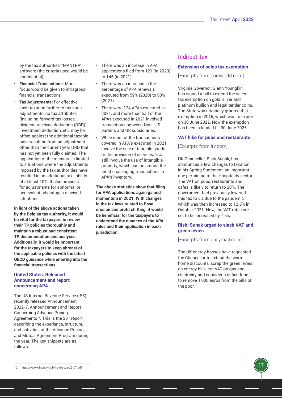by the tax authorities' 'MANTRA' software (the criteria used would be confidential).

- **• Financial Transactions:** More focus would be given to intragroup financial transactions
- **• Tax Adjustments:** For effective cash taxation further to tax audit adjustments, no tax attributes (including forward tax losses, dividend received deduction (DRD)), investment deduction, etc. may be offset against the additional taxable base resulting from an adjustment other than the current year DRD that has not yet been fully claimed. The application of the measure is limited to situations where the adjustments imposed by the tax authorities have resulted in an additional tax liability of at least 10%. It also provides for adjustments for abnormal or benevolent advantages received situations.

**In light of the above actions taken by the Belgian tax authority, it would be vital for the taxpayers to review their TP policies thoroughly and maintain a robust and consistent TP documentation and analyses. Additionally, it would be important for the taxpayers to keep abreast of the applicable policies with the latest OECD guidance while entering into the financial transactions.** 

# **United States: Released Announcement and report concerning APA**

The US Internal Revenue Service (IRS) recently released Announcement 2022-7, Announcement and Report Concerning Advance Pricing Agreements<sup>12</sup>. This is the 23<sup>rd</sup> report describing the experience, structure, and activities of the Advance Pricing and Mutual Agreement Program during the year. The key snippets are as follows:

- There was an increase in APA applications filed from 121 (in 2020) to 145 (in 2021).
- There was an increase in the percentage of APA renewals executed from 59% (2020) to 63% (2021).
- There were 124 APAs executed in 2021, and more than half of the APAs executed in 2021 involved transactions between Non-U.S. parents and US subsidiaries.
- While most of the transactions covered in APA's executed in 2021 involve the sale of tangible goods or the provision of services,15% still involve the use of intangible property, which can be among the most challenging transactions in APA's inventory.

**The above statistics show that filing for APA applications again gained momentum in 2021. With changes in the tax laws related to Base erosion and profit shifting, it would be beneficial for the taxpayers to understand the nuances of the APA rules and their application in each jurisdiction.**

# Indirect Tax

#### **Extension of sales tax exemption**

[Excerpts from coinworld.com]

Virginia Governor, Glenn Youngkin, has signed a bill to extend the sales tax exemption on gold, silver and platinum bullion and legal tender coins. The State was originally granted this exemption in 2015, which was to expire on 30 June 2022. Now the exemption has been extended till 30 June 2025.

#### **VAT hike for pubs and restaurants**

#### [Excerpts from itv.com]

UK Chancellor, Rishi Sunak, has announced a few changes to taxation in his Spring Statement, an important one pertaining to the Hospitality sector. The VAT on pubs, restaurants and cafes is likely to return to 20%. The government had previously lowered this tax to 5% due to the pandemic, which was then increased to 12.5% in October 2021. Now, the VAT rates are set to be increased by 7.5%.

## **Rishi Sunak urged to slash VAT and green levies**

#### [Excerpts from dailymail.co.in]

The UK energy bosses have requested the Chancellor to extend the warm home discounts, scrap the green levies on energy bills, cut VAT on gas and electricity and consider a deficit fund to remove 1,000 euros from the bills of the poor.

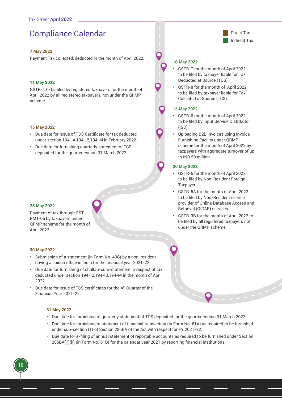# <span id="page-17-0"></span>Compliance Calendar **Direct Tax**

## **7 May 2022**

Payment Tax collected/deducted in the month of April 2022.

#### **11 May 2022**

GSTR-1 to be filed by registered taxpayers for the month of April 2022 by all registered taxpayers, not under the QRMP scheme.

#### **15 May 2022**

- Due date for issue of TDS Certificate for tax deducted under section 194-IA,194-IB,194-M in February 2022.
- Due date for furnishing quarterly statement of TCS deposited for the quarter ending 31 March 2022.

#### **25 May 2022**

Payment of tax through GST PMT-06 by taxpayers under QRMP scheme for the month of April 2022.

#### **30 May 2022**

18

- Submission of a statement (in Form No. 49C) by a non-resident having a liaison office in India for the financial year 2021-22.
- Due date for furnishing of challan-cum-statement in respect of tax deducted under section 194-IB,194-IB,194-M in the month of April 2022.
- Due date for issue of TCS certificates for the 4th Quarter of the Financial Year 2021-22.

#### **31 May 2022**

- Due date for furnishing of quarterly statement of TDS deposited for the quarter ending 31 March 2022.
- Due date for furnishing of statement of financial transaction (in Form No. 61A) as required to be furnished under sub-section (1) of Section 285BA of the Act with respect for FY 2021-22.
- Due date for e-filing of annual statement of reportable accounts as required to be furnished under Section 285BA(1)(k) (in Form No. 61B) for the calendar year 2021 by reporting financial institutions.



#### **10 May 2022**

- GSTR-7 for the month of April 2022 to be filed by taxpayer liable for Tax Deducted at Source (TDS).
- GSTR-8 for the month of April 2022 to be filed by taxpayer liable for Tax Collected at Source (TCS).

#### **13 May 2022**

- GSTR-6 for the month of April 2022 to be filed by Input Service Distributor  $(ISD)$ .
- Uploading B2B invoices using Invoice Furnishing Facility under QRMP scheme for the month of April 2022 by taxpayers with aggregate turnover of up to INR 50 million.

#### **20 May 2022**

- GSTR-5 for the month of April 2022 to be filed by Non-Resident Foreign Taxpayer.
- GSTR-5A for the month of April 2022 to be filed by Non-Resident service provider of Online Database Access and Retrieval (OIDAR) services.
- GSTR-3B for the month of April 2022 to be filed by all registered taxpayers not under the QRMP scheme.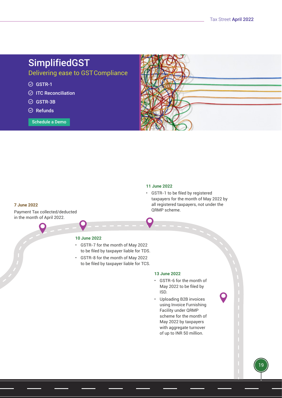# SimplifiedGST

Delivering ease to GST Compliance

- $\odot$  GSTR-1
- $\odot$  ITC Reconciliation
- $\odot$  GSTR-3B
- $\oslash$  Refunds

Schedule a Demo



## **11 June 2022**

QRMP scheme.

**7 June 2022**

Payment Tax collected/deducted in the month of April 2022.

# **10 June 2022**

- GSTR-7 for the month of May 2022 to be filed by taxpayer liable for TDS.
- GSTR-8 for the month of May 2022 to be filed by taxpayer liable for TCS.

#### **13 June 2022**

• GSTR-6 for the month of May 2022 to be filed by ISD.

• GSTR-1 to be filed by registered

taxpayers for the month of May 2022 by all registered taxpayers, not under the

• Uploading B2B invoices using Invoice Furnishing Facility under QRMP scheme for the month of May 2022 by taxpayers with aggregate turnover of up to INR 50 million.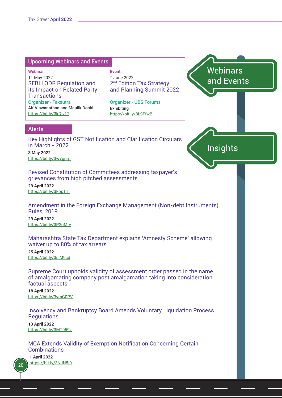# <span id="page-19-0"></span>Upcoming Webinars and Events

**Webinar** 11 May 2022 SEBI LODR Regulation and its Impact on Related Party **Transactions** Organizer - Taxsutra AK Viswanathan and Maulik Doshi https://bit.ly/3kDjv17

**Event** 7 June 2022 2<sup>nd</sup> Edition Tax Strategy and Planning Summit 2022

Organizer - UBS Forums Exhibiting https://bit.ly/3L9FfwB

**Webinars** and Events

Insights

# Alerts

Key Highlights of GST Notification and Clarification Circulars in March - 2022

**3 May 2022** https://bit.ly/3w7gprp

Revised Constitution of Committees addressing taxpayer's grievances from high pitched assessments

**29 April 2022** https://bit.ly/3FopTTj

Amendment in the Foreign Exchange Management (Non-debt Instruments) Rules, 2019

**29 April 2022** https://bit.ly/3P2gMfv

Maharashtra State Tax Department explains 'Amnesty Scheme' allowing waiver up to 80% of tax arrears

**25 April 2022** https://bit.ly/3siM9cd

Supreme Court upholds validity of assessment order passed in the name of amalgamating company post amalgamation taking into consideration factual aspects

**18 April 2022** https://bit.ly/3ymG0PV

Insolvency and Bankruptcy Board Amends Voluntary Liquidation Process **Regulations** 

**13 April 2022** https://bit.ly/3MT959z

MCA Extends Validity of Exemption Notification Concerning Certain **Combinations** 

**1 April 2022** https://bit.ly/3NJN5j0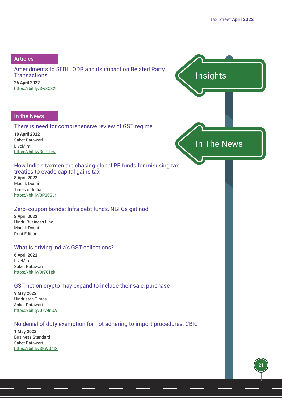Insights

In The News

# <span id="page-20-0"></span>Articles

Amendments to SEBI LODR and its impact on Related Party **Transactions 26 April 2022** https://bit.ly/3w8C82h

# In the News

# There is need for comprehensive review of GST regime

**18 April 2022** Saket Patawari LiveMint https://bit.ly/3uPfTiw

# How India's taxmen are chasing global PE funds for misusing tax treaties to evade capital gains tax **8 April 2022**

Maulik Doshi Times of India https://bit.ly/3P26Gvr

# Zero-coupon bonds: Infra debt funds, NBFCs get nod

**8 April 2022** Hindu Business Line Maulik Doshi Print Edition

# What is driving India's GST collections?

**6 April 2022** LiveMint Saket Patawari [https://bit.ly/3r701pk](https://bit.ly/3r701pk )

# GST net on crypto may expand to include their sale, purchase

**9 May 2022** Hindustan Times Saket Patawari https://bit.ly/37y9nUA

# No denial of duty exemption for not adhering to import procedures: CBIC

**1 May 2022** Business Standard Saket Patawari https://bit.ly/3KWG4IS